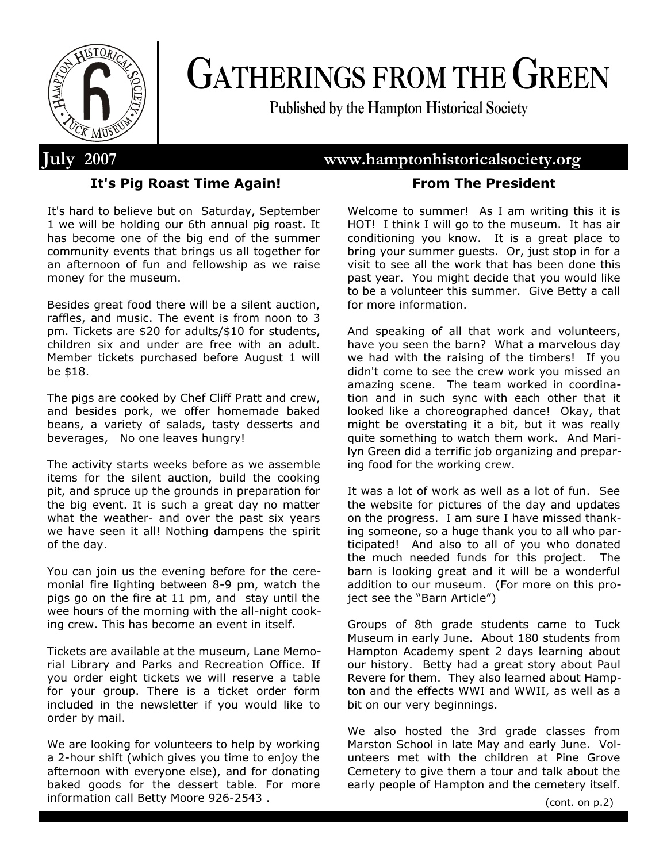

# **GATHERINGS FROM THE GREEN**

**Published by the Hampton Historical Society**

# **July 2007 www.hamptonhistoricalsociety.org**

# **It's Pig Roast Time Again!**

It's hard to believe but on Saturday, September 1 we will be holding our 6th annual pig roast. It has become one of the big end of the summer community events that brings us all together for an afternoon of fun and fellowship as we raise money for the museum.

Besides great food there will be a silent auction, raffles, and music. The event is from noon to 3 pm. Tickets are \$20 for adults/\$10 for students, children six and under are free with an adult. Member tickets purchased before August 1 will be \$18.

The pigs are cooked by Chef Cliff Pratt and crew, and besides pork, we offer homemade baked beans, a variety of salads, tasty desserts and beverages, No one leaves hungry!

The activity starts weeks before as we assemble items for the silent auction, build the cooking pit, and spruce up the grounds in preparation for the big event. It is such a great day no matter what the weather- and over the past six years we have seen it all! Nothing dampens the spirit of the day.

You can join us the evening before for the ceremonial fire lighting between 8-9 pm, watch the pigs go on the fire at 11 pm, and stay until the wee hours of the morning with the all-night cooking crew. This has become an event in itself.

Tickets are available at the museum, Lane Memorial Library and Parks and Recreation Office. If you order eight tickets we will reserve a table for your group. There is a ticket order form included in the newsletter if you would like to order by mail.

We are looking for volunteers to help by working a 2-hour shift (which gives you time to enjoy the afternoon with everyone else), and for donating baked goods for the dessert table. For more information call Betty Moore 926-2543 .

# **From The President**

Welcome to summer! As I am writing this it is HOT! I think I will go to the museum. It has air conditioning you know. It is a great place to bring your summer guests. Or, just stop in for a visit to see all the work that has been done this past year. You might decide that you would like to be a volunteer this summer. Give Betty a call for more information.

And speaking of all that work and volunteers, have you seen the barn? What a marvelous day we had with the raising of the timbers! If you didn't come to see the crew work you missed an amazing scene. The team worked in coordination and in such sync with each other that it looked like a choreographed dance! Okay, that might be overstating it a bit, but it was really quite something to watch them work. And Marilyn Green did a terrific job organizing and preparing food for the working crew.

It was a lot of work as well as a lot of fun. See the website for pictures of the day and updates on the progress. I am sure I have missed thanking someone, so a huge thank you to all who participated! And also to all of you who donated the much needed funds for this project. The barn is looking great and it will be a wonderful addition to our museum. (For more on this project see the "Barn Article")

Groups of 8th grade students came to Tuck Museum in early June. About 180 students from Hampton Academy spent 2 days learning about our history. Betty had a great story about Paul Revere for them. They also learned about Hampton and the effects WWI and WWII, as well as a bit on our very beginnings.

We also hosted the 3rd grade classes from Marston School in late May and early June. Volunteers met with the children at Pine Grove Cemetery to give them a tour and talk about the early people of Hampton and the cemetery itself.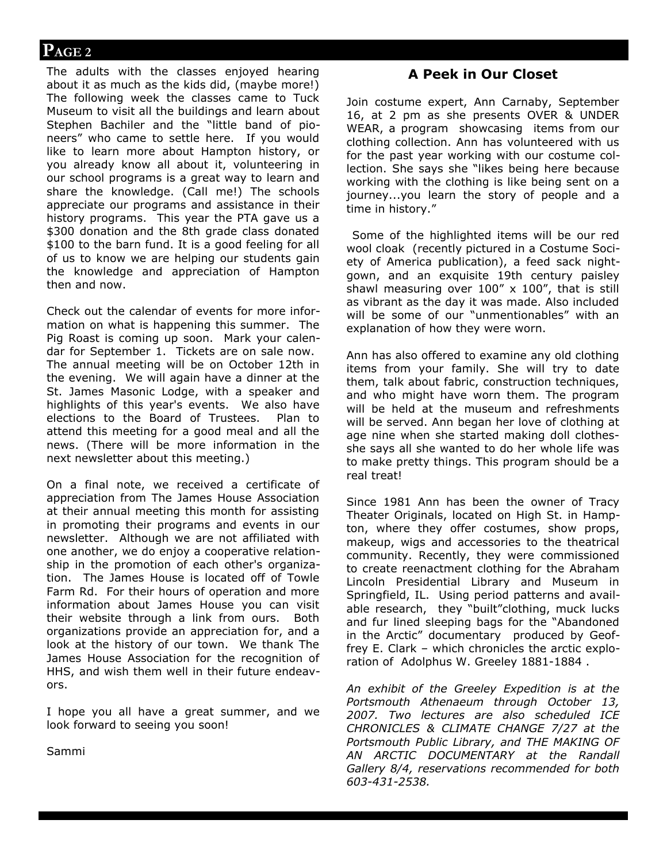The adults with the classes enjoyed hearing about it as much as the kids did, (maybe more!) The following week the classes came to Tuck Museum to visit all the buildings and learn about Stephen Bachiler and the "little band of pioneers" who came to settle here. If you would like to learn more about Hampton history, or you already know all about it, volunteering in our school programs is a great way to learn and share the knowledge. (Call me!) The schools appreciate our programs and assistance in their history programs. This year the PTA gave us a \$300 donation and the 8th grade class donated \$100 to the barn fund. It is a good feeling for all of us to know we are helping our students gain the knowledge and appreciation of Hampton then and now.

Check out the calendar of events for more information on what is happening this summer. The Pig Roast is coming up soon. Mark your calendar for September 1. Tickets are on sale now. The annual meeting will be on October 12th in the evening. We will again have a dinner at the St. James Masonic Lodge, with a speaker and highlights of this year's events. We also have elections to the Board of Trustees. Plan to attend this meeting for a good meal and all the news. (There will be more information in the next newsletter about this meeting.)

On a final note, we received a certificate of appreciation from The James House Association at their annual meeting this month for assisting in promoting their programs and events in our newsletter. Although we are not affiliated with one another, we do enjoy a cooperative relationship in the promotion of each other's organization. The James House is located off of Towle Farm Rd. For their hours of operation and more information about James House you can visit their website through a link from ours. Both organizations provide an appreciation for, and a look at the history of our town. We thank The James House Association for the recognition of HHS, and wish them well in their future endeavors.

I hope you all have a great summer, and we look forward to seeing you soon!

Sammi

# **A Peek in Our Closet**

Join costume expert, Ann Carnaby, September 16, at 2 pm as she presents OVER & UNDER WEAR, a program showcasing items from our clothing collection. Ann has volunteered with us for the past year working with our costume collection. She says she "likes being here because working with the clothing is like being sent on a journey...you learn the story of people and a time in history."

 Some of the highlighted items will be our red wool cloak (recently pictured in a Costume Society of America publication), a feed sack nightgown, and an exquisite 19th century paisley shawl measuring over  $100'' \times 100''$ , that is still as vibrant as the day it was made. Also included will be some of our "unmentionables" with an explanation of how they were worn.

Ann has also offered to examine any old clothing items from your family. She will try to date them, talk about fabric, construction techniques, and who might have worn them. The program will be held at the museum and refreshments will be served. Ann began her love of clothing at age nine when she started making doll clothesshe says all she wanted to do her whole life was to make pretty things. This program should be a real treat!

Since 1981 Ann has been the owner of Tracy Theater Originals, located on High St. in Hampton, where they offer costumes, show props, makeup, wigs and accessories to the theatrical community. Recently, they were commissioned to create reenactment clothing for the Abraham Lincoln Presidential Library and Museum in Springfield, IL. Using period patterns and available research, they "built"clothing, muck lucks and fur lined sleeping bags for the "Abandoned in the Arctic" documentary produced by Geoffrey E. Clark – which chronicles the arctic exploration of Adolphus W. Greeley 1881-1884 .

*An exhibit of the Greeley Expedition is at the Portsmouth Athenaeum through October 13, 2007. Two lectures are also scheduled ICE CHRONICLES & CLIMATE CHANGE 7/27 at the Portsmouth Public Library, and THE MAKING OF AN ARCTIC DOCUMENTARY at the Randall Gallery 8/4, reservations recommended for both 603-431-2538.*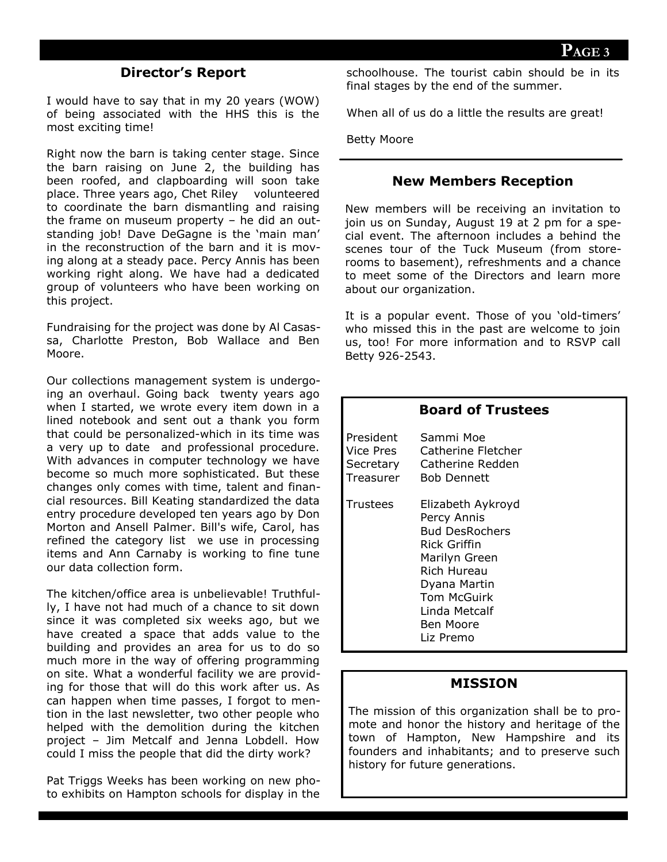# **Director's Report**

I would have to say that in my 20 years (WOW) of being associated with the HHS this is the most exciting time!

Right now the barn is taking center stage. Since the barn raising on June 2, the building has been roofed, and clapboarding will soon take place. Three years ago, Chet Riley volunteered to coordinate the barn dismantling and raising the frame on museum property – he did an outstanding job! Dave DeGagne is the 'main man' in the reconstruction of the barn and it is moving along at a steady pace. Percy Annis has been working right along. We have had a dedicated group of volunteers who have been working on this project.

Fundraising for the project was done by Al Casassa, Charlotte Preston, Bob Wallace and Ben Moore.

Our collections management system is undergoing an overhaul. Going back twenty years ago when I started, we wrote every item down in a lined notebook and sent out a thank you form that could be personalized-which in its time was a very up to date and professional procedure. With advances in computer technology we have become so much more sophisticated. But these changes only comes with time, talent and financial resources. Bill Keating standardized the data entry procedure developed ten years ago by Don Morton and Ansell Palmer. Bill's wife, Carol, has refined the category list we use in processing items and Ann Carnaby is working to fine tune our data collection form.

The kitchen/office area is unbelievable! Truthfully, I have not had much of a chance to sit down since it was completed six weeks ago, but we have created a space that adds value to the building and provides an area for us to do so much more in the way of offering programming on site. What a wonderful facility we are providing for those that will do this work after us. As can happen when time passes, I forgot to mention in the last newsletter, two other people who helped with the demolition during the kitchen project – Jim Metcalf and Jenna Lobdell. How could I miss the people that did the dirty work?

Pat Triggs Weeks has been working on new photo exhibits on Hampton schools for display in the schoolhouse. The tourist cabin should be in its final stages by the end of the summer.

When all of us do a little the results are great!

Betty Moore

#### **New Members Reception**

New members will be receiving an invitation to join us on Sunday, August 19 at 2 pm for a special event. The afternoon includes a behind the scenes tour of the Tuck Museum (from storerooms to basement), refreshments and a chance to meet some of the Directors and learn more about our organization.

It is a popular event. Those of you 'old-timers' who missed this in the past are welcome to join us, too! For more information and to RSVP call Betty 926-2543.

|                                                  | <b>Board of Trustees</b>                                                                                                                                                                                 |
|--------------------------------------------------|----------------------------------------------------------------------------------------------------------------------------------------------------------------------------------------------------------|
| President<br>Vice Pres<br>Secretary<br>Treasurer | Sammi Moe<br>Catherine Fletcher<br>Catherine Redden<br><b>Bob Dennett</b>                                                                                                                                |
| Trustees                                         | Elizabeth Aykroyd<br>Percy Annis<br><b>Bud DesRochers</b><br>Rick Griffin<br>Marilyn Green<br><b>Rich Hureau</b><br>Dyana Martin<br><b>Tom McGuirk</b><br>Linda Metcalf<br><b>Ben Moore</b><br>Liz Premo |

#### **MISSION**

The mission of this organization shall be to promote and honor the history and heritage of the town of Hampton, New Hampshire and its founders and inhabitants; and to preserve such history for future generations.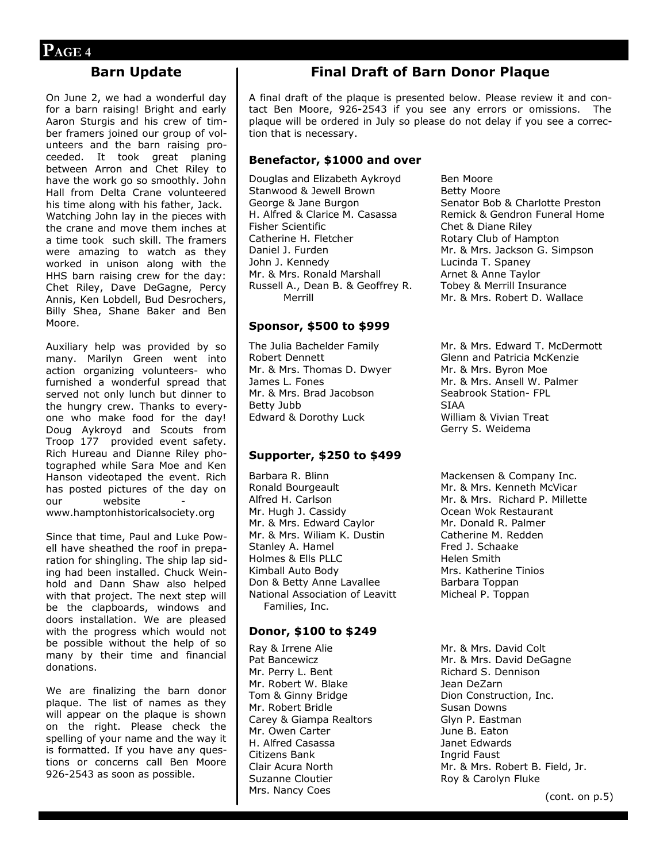#### **Barn Update**

On June 2, we had a wonderful day for a barn raising! Bright and early Aaron Sturgis and his crew of timber framers joined our group of volunteers and the barn raising proceeded. It took great planing between Arron and Chet Riley to have the work go so smoothly. John Hall from Delta Crane volunteered his time along with his father, Jack. Watching John lay in the pieces with the crane and move them inches at a time took such skill. The framers were amazing to watch as they worked in unison along with the HHS barn raising crew for the day: Chet Riley, Dave DeGagne, Percy Annis, Ken Lobdell, Bud Desrochers, Billy Shea, Shane Baker and Ben Moore.

Auxiliary help was provided by so many. Marilyn Green went into action organizing volunteers- who furnished a wonderful spread that served not only lunch but dinner to the hungry crew. Thanks to everyone who make food for the day! Doug Aykroyd and Scouts from Troop 177 provided event safety. Rich Hureau and Dianne Riley photographed while Sara Moe and Ken Hanson videotaped the event. Rich has posted pictures of the day on our website www.hamptonhistoricalsociety.org

Since that time, Paul and Luke Powell have sheathed the roof in preparation for shingling. The ship lap siding had been installed. Chuck Weinhold and Dann Shaw also helped with that project. The next step will be the clapboards, windows and doors installation. We are pleased with the progress which would not be possible without the help of so many by their time and financial donations.

We are finalizing the barn donor plaque. The list of names as they will appear on the plaque is shown on the right. Please check the spelling of your name and the way it is formatted. If you have any questions or concerns call Ben Moore 926-2543 as soon as possible.

# **Final Draft of Barn Donor Plaque**

A final draft of the plaque is presented below. Please review it and contact Ben Moore, 926-2543 if you see any errors or omissions. The plaque will be ordered in July so please do not delay if you see a correction that is necessary.

#### **Benefactor, \$1000 and over**

Douglas and Elizabeth Aykroyd Stanwood & Jewell Brown George & Jane Burgon H. Alfred & Clarice M. Casassa Fisher Scientific Catherine H. Fletcher Daniel J. Furden John J. Kennedy Mr. & Mrs. Ronald Marshall Russell A., Dean B. & Geoffrey R. Merrill

#### **Sponsor, \$500 to \$999**

The Julia Bachelder Family Robert Dennett Mr. & Mrs. Thomas D. Dwyer James L. Fones Mr. & Mrs. Brad Jacobson Betty Jubb Edward & Dorothy Luck

#### **Supporter, \$250 to \$499**

Barbara R. Blinn Ronald Bourgeault Alfred H. Carlson Mr. Hugh J. Cassidy Mr. & Mrs. Edward Caylor Mr. & Mrs. Wiliam K. Dustin Stanley A. Hamel Holmes & Ells PLLC Kimball Auto Body Don & Betty Anne Lavallee National Association of Leavitt Families, Inc.

#### **Donor, \$100 to \$249**

Ray & Irrene Alie Pat Bancewicz Mr. Perry L. Bent Mr. Robert W. Blake Tom & Ginny Bridge Mr. Robert Bridle Carey & Giampa Realtors Mr. Owen Carter H. Alfred Casassa Citizens Bank Clair Acura North Suzanne Cloutier Mrs. Nancy Coes

Ben Moore Betty Moore Senator Bob & Charlotte Preston Remick & Gendron Funeral Home Chet & Diane Riley Rotary Club of Hampton Mr. & Mrs. Jackson G. Simpson Lucinda T. Spaney Arnet & Anne Taylor Tobey & Merrill Insurance Mr. & Mrs. Robert D. Wallace

Mr. & Mrs. Edward T. McDermott Glenn and Patricia McKenzie Mr. & Mrs. Byron Moe Mr. & Mrs. Ansell W. Palmer Seabrook Station- FPL SIAA William & Vivian Treat Gerry S. Weidema

Mackensen & Company Inc. Mr. & Mrs. Kenneth McVicar Mr. & Mrs. Richard P. Millette Ocean Wok Restaurant Mr. Donald R. Palmer Catherine M. Redden Fred J. Schaake Helen Smith Mrs. Katherine Tinios Barbara Toppan Micheal P. Toppan

Mr. & Mrs. David Colt Mr. & Mrs. David DeGagne Richard S. Dennison Jean DeZarn Dion Construction, Inc. Susan Downs Glyn P. Eastman June B. Eaton Janet Edwards Ingrid Faust Mr. & Mrs. Robert B. Field, Jr. Roy & Carolyn Fluke

(cont. on p.5)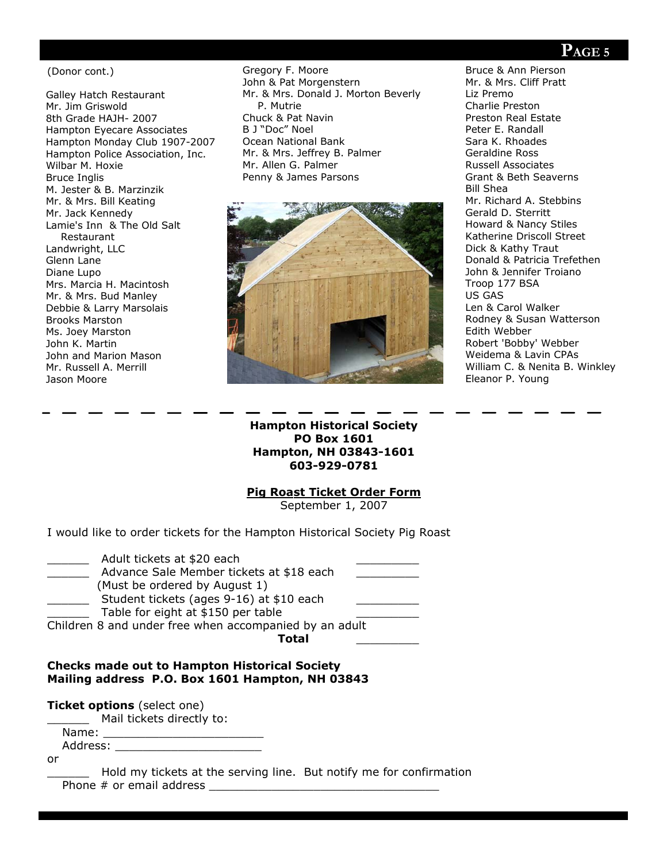(Donor cont.)

Galley Hatch Restaurant Mr. Jim Griswold 8th Grade HAJH- 2007 Hampton Eyecare Associates Hampton Monday Club 1907-2007 Hampton Police Association, Inc. Wilbar M. Hoxie Bruce Inglis M. Jester & B. Marzinzik Mr. & Mrs. Bill Keating Mr. Jack Kennedy Lamie's Inn & The Old Salt Restaurant Landwright, LLC Glenn Lane Diane Lupo Mrs. Marcia H. Macintosh Mr. & Mrs. Bud Manley Debbie & Larry Marsolais Brooks Marston Ms. Joey Marston John K. Martin John and Marion Mason Mr. Russell A. Merrill Jason Moore

Gregory F. Moore John & Pat Morgenstern Mr. & Mrs. Donald J. Morton Beverly P. Mutrie Chuck & Pat Navin B J "Doc" Noel Ocean National Bank Mr. & Mrs. Jeffrey B. Palmer Mr. Allen G. Palmer Penny & James Parsons



Bruce & Ann Pierson Mr. & Mrs. Cliff Pratt Liz Premo Charlie Preston Preston Real Estate Peter E. Randall Sara K. Rhoades Geraldine Ross Russell Associates Grant & Beth Seaverns Bill Shea Mr. Richard A. Stebbins Gerald D. Sterritt Howard & Nancy Stiles Katherine Driscoll Street Dick & Kathy Traut Donald & Patricia Trefethen John & Jennifer Troiano Troop 177 BSA US GAS Len & Carol Walker Rodney & Susan Watterson Edith Webber Robert 'Bobby' Webber Weidema & Lavin CPAs William C. & Nenita B. Winkley Eleanor P. Young

**Hampton Historical Society PO Box 1601 Hampton, NH 03843-1601 603-929-0781**

#### **Pig Roast Ticket Order Form**

September 1, 2007

I would like to order tickets for the Hampton Historical Society Pig Roast

| Adult tickets at \$20 each                             |  |
|--------------------------------------------------------|--|
| Advance Sale Member tickets at \$18 each               |  |
| (Must be ordered by August 1)                          |  |
| Student tickets (ages 9-16) at \$10 each               |  |
| Table for eight at \$150 per table                     |  |
| Children 8 and under free when accompanied by an adult |  |
| Total                                                  |  |

#### **Checks made out to Hampton Historical Society Mailing address P.O. Box 1601 Hampton, NH 03843**

**Ticket options** (select one)

Mail tickets directly to:

Name:  $\blacksquare$ Address: \_\_\_\_\_\_\_\_\_\_\_\_\_\_\_\_\_\_\_\_\_

or

Hold my tickets at the serving line. But notify me for confirmation Phone  $#$  or email address